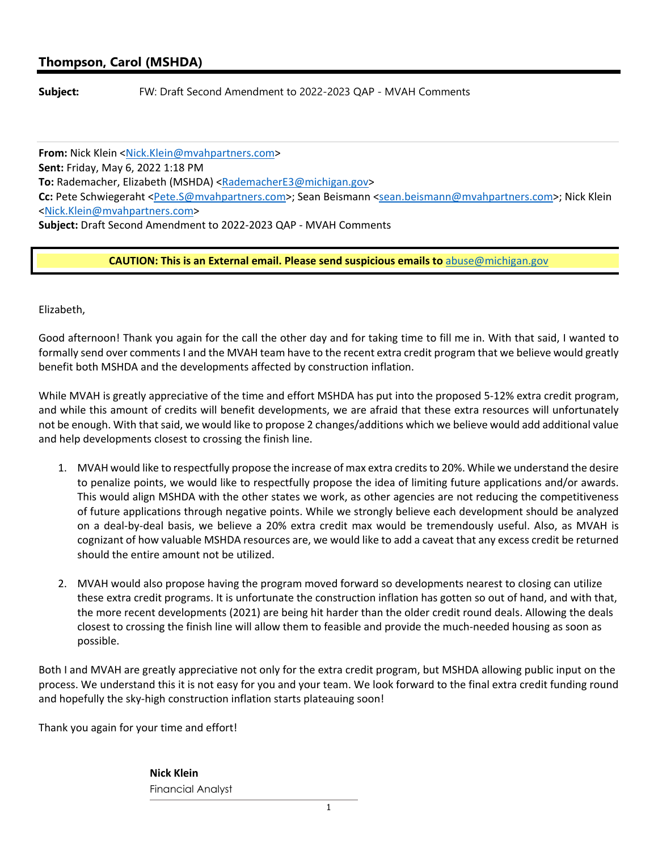## **Thompson, Carol (MSHDA)**

**Subject:** FW: Draft Second Amendment to 2022-2023 QAP - MVAH Comments

**From:** Nick Klein <Nick.Klein@mvahpartners.com> **Sent:** Friday, May 6, 2022 1:18 PM To: Rademacher, Elizabeth (MSHDA) <RademacherE3@michigan.gov> Cc: Pete Schwiegeraht <*Pete.S@mvahpartners.com>*; Sean Beismann <sean.beismann@mvahpartners.com>; Nick Klein <Nick.Klein@mvahpartners.com> **Subject:** Draft Second Amendment to 2022‐2023 QAP ‐ MVAH Comments

## **CAUTION: This is an External email. Please send suspicious emails to** abuse@michigan.gov

Elizabeth,

Good afternoon! Thank you again for the call the other day and for taking time to fill me in. With that said, I wanted to formally send over comments I and the MVAH team have to the recent extra credit program that we believe would greatly benefit both MSHDA and the developments affected by construction inflation.

While MVAH is greatly appreciative of the time and effort MSHDA has put into the proposed 5-12% extra credit program, and while this amount of credits will benefit developments, we are afraid that these extra resources will unfortunately not be enough. With that said, we would like to propose 2 changes/additions which we believe would add additional value and help developments closest to crossing the finish line.

- 1. MVAH would like to respectfully propose the increase of max extra creditsto 20%. While we understand the desire to penalize points, we would like to respectfully propose the idea of limiting future applications and/or awards. This would align MSHDA with the other states we work, as other agencies are not reducing the competitiveness of future applications through negative points. While we strongly believe each development should be analyzed on a deal‐by‐deal basis, we believe a 20% extra credit max would be tremendously useful. Also, as MVAH is cognizant of how valuable MSHDA resources are, we would like to add a caveat that any excess credit be returned should the entire amount not be utilized.
- 2. MVAH would also propose having the program moved forward so developments nearest to closing can utilize these extra credit programs. It is unfortunate the construction inflation has gotten so out of hand, and with that, the more recent developments (2021) are being hit harder than the older credit round deals. Allowing the deals closest to crossing the finish line will allow them to feasible and provide the much‐needed housing as soon as possible.

Both I and MVAH are greatly appreciative not only for the extra credit program, but MSHDA allowing public input on the process. We understand this it is not easy for you and your team. We look forward to the final extra credit funding round and hopefully the sky-high construction inflation starts plateauing soon!

Thank you again for your time and effort!

**Nick Klein** Financial Analyst